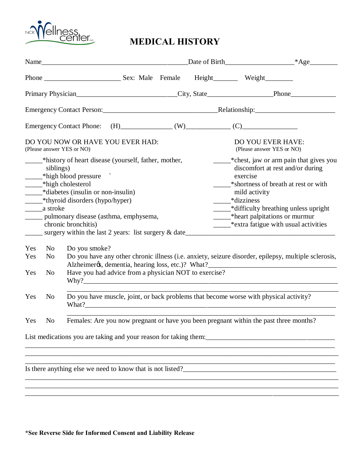

## **MEDICAL HISTORY**

|                                                               |                | Name                                                                                                                                                                                                                                                                                                                     |  |  |  |                                                                                                                                                                                                                                              |                                                |  |
|---------------------------------------------------------------|----------------|--------------------------------------------------------------------------------------------------------------------------------------------------------------------------------------------------------------------------------------------------------------------------------------------------------------------------|--|--|--|----------------------------------------------------------------------------------------------------------------------------------------------------------------------------------------------------------------------------------------------|------------------------------------------------|--|
|                                                               |                |                                                                                                                                                                                                                                                                                                                          |  |  |  |                                                                                                                                                                                                                                              |                                                |  |
| Primary Physician Filmont Physician Phone <sub>1</sub>        |                |                                                                                                                                                                                                                                                                                                                          |  |  |  |                                                                                                                                                                                                                                              |                                                |  |
|                                                               |                |                                                                                                                                                                                                                                                                                                                          |  |  |  |                                                                                                                                                                                                                                              |                                                |  |
|                                                               |                | Emergency Contact Phone: $(H)$ (W) (V) (C)                                                                                                                                                                                                                                                                               |  |  |  |                                                                                                                                                                                                                                              |                                                |  |
| DO YOU NOW OR HAVE YOU EVER HAD:<br>(Please answer YES or NO) |                |                                                                                                                                                                                                                                                                                                                          |  |  |  | DO YOU EVER HAVE:<br>(Please answer YES or NO)                                                                                                                                                                                               |                                                |  |
|                                                               | siblings)      | _____*history of heart disease (yourself, father, mother,<br>*high blood pressure<br>*high cholesterol<br>- *diabetes (insulin or non-insulin)<br>_______*thyroid disorders (hypo/hyper)<br>______ pulmonary disease (asthma, emphysema,<br>chronic bronchitis)<br>surgery within the last 2 years: list surgery & date_ |  |  |  | discomfort at rest and/or during<br>exercise<br>*shortness of breath at rest or with<br>mild activity<br>*dizziness<br>*difficulty breathing unless upright<br>*heart palpitations or murmur<br>________*extra fatigue with usual activities | _______* chest, jaw or arm pain that gives you |  |
| Yes                                                           | N <sub>0</sub> | Do you smoke?                                                                                                                                                                                                                                                                                                            |  |  |  |                                                                                                                                                                                                                                              |                                                |  |
| Yes<br>Yes                                                    | No<br>No       | Do you have any other chronic illness (i.e. anxiety, seizure disorder, epilepsy, multiple sclerosis,<br>Have you had advice from a physician NOT to exercise?                                                                                                                                                            |  |  |  |                                                                                                                                                                                                                                              |                                                |  |
| Yes                                                           | N <sub>0</sub> | Do you have muscle, joint, or back problems that become worse with physical activity?<br>What?                                                                                                                                                                                                                           |  |  |  |                                                                                                                                                                                                                                              |                                                |  |
| Yes                                                           | N <sub>o</sub> | Females: Are you now pregnant or have you been pregnant within the past three months?                                                                                                                                                                                                                                    |  |  |  |                                                                                                                                                                                                                                              |                                                |  |
|                                                               |                |                                                                                                                                                                                                                                                                                                                          |  |  |  |                                                                                                                                                                                                                                              |                                                |  |
|                                                               |                |                                                                                                                                                                                                                                                                                                                          |  |  |  |                                                                                                                                                                                                                                              |                                                |  |

\_\_\_\_\_\_\_\_\_\_\_\_\_\_\_\_\_\_\_\_\_\_\_\_\_\_\_\_\_\_\_\_\_\_\_\_\_\_\_\_\_\_\_\_\_\_\_\_\_\_\_\_\_\_\_\_\_\_\_\_\_\_\_\_\_\_\_\_\_\_\_\_\_\_\_\_\_\_\_\_\_\_\_\_\_\_\_\_\_\_ \_\_\_\_\_\_\_\_\_\_\_\_\_\_\_\_\_\_\_\_\_\_\_\_\_\_\_\_\_\_\_\_\_\_\_\_\_\_\_\_\_\_\_\_\_\_\_\_\_\_\_\_\_\_\_\_\_\_\_\_\_\_\_\_\_\_\_\_\_\_\_\_\_\_\_\_\_\_\_\_\_\_\_\_\_\_\_\_\_\_

Is there anything else we need to know that is not listed?\_\_\_\_\_\_\_\_\_\_\_\_\_\_\_\_\_\_\_\_\_\_\_\_\_\_\_\_\_\_\_\_\_\_\_\_\_\_\_\_\_\_\_\_